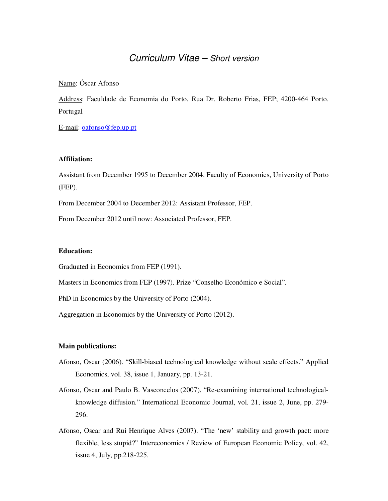# Curriculum Vitae – Short version

## Name: Óscar Afonso

Address: Faculdade de Economia do Porto, Rua Dr. Roberto Frias, FEP; 4200-464 Porto. Portugal

E-mail: oafonso@fep.up.pt

#### **Affiliation:**

Assistant from December 1995 to December 2004. Faculty of Economics, University of Porto (FEP).

From December 2004 to December 2012: Assistant Professor, FEP.

From December 2012 until now: Associated Professor, FEP.

## **Education:**

Graduated in Economics from FEP (1991).

Masters in Economics from FEP (1997). Prize "Conselho Económico e Social".

PhD in Economics by the University of Porto (2004).

Aggregation in Economics by the University of Porto (2012).

#### **Main publications:**

- Afonso, Oscar (2006). "Skill-biased technological knowledge without scale effects." Applied Economics, vol. 38, issue 1, January, pp. 13-21.
- Afonso, Oscar and Paulo B. Vasconcelos (2007). "Re-examining international technologicalknowledge diffusion." International Economic Journal, vol. 21, issue 2, June, pp. 279- 296.
- Afonso, Oscar and Rui Henrique Alves (2007). "The 'new' stability and growth pact: more flexible, less stupid?" Intereconomics / Review of European Economic Policy, vol. 42, issue 4, July, pp.218-225.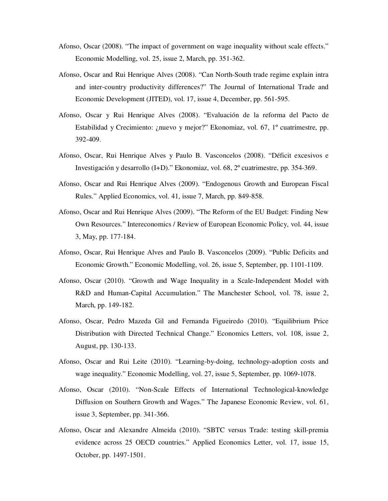- Afonso, Oscar (2008). "The impact of government on wage inequality without scale effects." Economic Modelling, vol. 25, issue 2, March, pp. 351-362.
- Afonso, Oscar and Rui Henrique Alves (2008). "Can North-South trade regime explain intra and inter-country productivity differences?" The Journal of International Trade and Economic Development (JITED), vol. 17, issue 4, December, pp. 561-595.
- Afonso, Oscar y Rui Henrique Alves (2008). "Evaluación de la reforma del Pacto de Estabilidad y Crecimiento: ¿nuevo y mejor?" Ekonomiaz, vol. 67, 1º cuatrimestre, pp. 392-409.
- Afonso, Oscar, Rui Henrique Alves y Paulo B. Vasconcelos (2008). "Déficit excesivos e Investigación y desarrollo (I+D)." Ekonomiaz, vol. 68, 2º cuatrimestre, pp. 354-369.
- Afonso, Oscar and Rui Henrique Alves (2009). "Endogenous Growth and European Fiscal Rules." Applied Economics, vol. 41, issue 7, March, pp. 849-858.
- Afonso, Oscar and Rui Henrique Alves (2009). "The Reform of the EU Budget: Finding New Own Resources." Intereconomics / Review of European Economic Policy, vol. 44, issue 3, May, pp. 177-184.
- Afonso, Oscar, Rui Henrique Alves and Paulo B. Vasconcelos (2009). "Public Deficits and Economic Growth." Economic Modelling, vol. 26, issue 5, September, pp. 1101-1109.
- Afonso, Oscar (2010). "Growth and Wage Inequality in a Scale-Independent Model with R&D and Human-Capital Accumulation." The Manchester School, vol. 78, issue 2, March, pp. 149-182.
- Afonso, Oscar, Pedro Mazeda Gil and Fernanda Figueiredo (2010). "Equilibrium Price Distribution with Directed Technical Change." Economics Letters, vol. 108, issue 2, August, pp. 130-133.
- Afonso, Oscar and Rui Leite (2010). "Learning-by-doing, technology-adoption costs and wage inequality." Economic Modelling, vol. 27, issue 5, September, pp. 1069-1078.
- Afonso, Oscar (2010). "Non-Scale Effects of International Technological-knowledge Diffusion on Southern Growth and Wages." The Japanese Economic Review, vol. 61, issue 3, September, pp. 341-366.
- Afonso, Oscar and Alexandre Almeida (2010). "SBTC versus Trade: testing skill-premia evidence across 25 OECD countries." Applied Economics Letter, vol. 17, issue 15, October, pp. 1497-1501.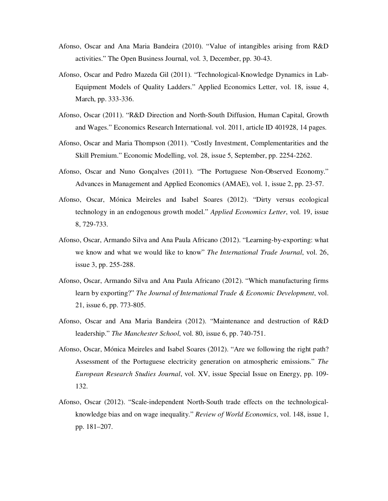- Afonso, Oscar and Ana Maria Bandeira (2010). "Value of intangibles arising from R&D activities." The Open Business Journal, vol. 3, December, pp. 30-43.
- Afonso, Oscar and Pedro Mazeda Gil (2011). "Technological-Knowledge Dynamics in Lab-Equipment Models of Quality Ladders." Applied Economics Letter, vol. 18, issue 4, March, pp. 333-336.
- Afonso, Oscar (2011). "R&D Direction and North-South Diffusion, Human Capital, Growth and Wages." Economics Research International. vol. 2011, article ID 401928, 14 pages.
- Afonso, Oscar and Maria Thompson (2011). "Costly Investment, Complementarities and the Skill Premium." Economic Modelling, vol. 28, issue 5, September, pp. 2254-2262.
- Afonso, Oscar and Nuno Gonçalves (2011). "The Portuguese Non-Observed Economy." Advances in Management and Applied Economics (AMAE), vol. 1, issue 2, pp. 23-57.
- Afonso, Oscar, Mónica Meireles and Isabel Soares (2012). "Dirty versus ecological technology in an endogenous growth model." *Applied Economics Letter*, vol. 19, issue 8, 729-733.
- Afonso, Oscar, Armando Silva and Ana Paula Africano (2012). "Learning-by-exporting: what we know and what we would like to know" *The International Trade Journal*, vol. 26, issue 3, pp. 255-288.
- Afonso, Oscar, Armando Silva and Ana Paula Africano (2012). "Which manufacturing firms learn by exporting?" *The Journal of International Trade & Economic Development*, vol. 21, issue 6, pp. 773-805.
- Afonso, Oscar and Ana Maria Bandeira (2012). "Maintenance and destruction of R&D leadership." *The Manchester School*, vol. 80, issue 6, pp. 740-751.
- Afonso, Oscar, Mónica Meireles and Isabel Soares (2012). "Are we following the right path? Assessment of the Portuguese electricity generation on atmospheric emissions." *The European Research Studies Journal*, vol. XV, issue Special Issue on Energy, pp. 109- 132.
- Afonso, Oscar (2012). "Scale-independent North-South trade effects on the technologicalknowledge bias and on wage inequality." *Review of World Economics*, vol. 148, issue 1, pp. 181–207.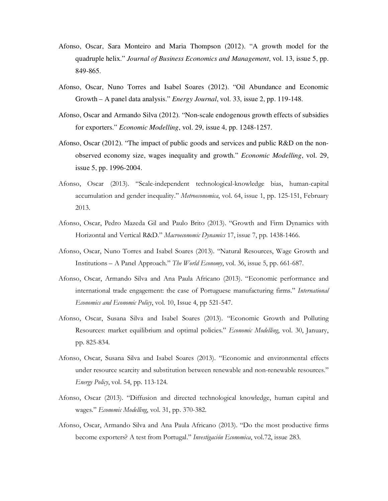- Afonso, Oscar, Sara Monteiro and Maria Thompson (2012). "A growth model for the quadruple helix." *Journal of Business Economics and Management*, vol. 13, issue 5, pp. 849-865.
- Afonso, Oscar, Nuno Torres and Isabel Soares (2012). "Oil Abundance and Economic Growth – A panel data analysis." *Energy Journal*, vol. 33, issue 2, pp. 119-148.
- Afonso, Oscar and Armando Silva (2012). "Non-scale endogenous growth effects of subsidies for exporters." *Economic Modelling*, vol. 29, issue 4, pp. 1248-1257.
- Afonso, Oscar (2012). "The impact of public goods and services and public R&D on the nonobserved economy size, wages inequality and growth." *Economic Modelling*, vol. 29, issue 5, pp. 1996-2004.
- Afonso, Oscar (2013). "Scale-independent technological-knowledge bias, human-capital accumulation and gender inequality." *Metroeconomica*, vol. 64, issue 1, pp. 125-151, February 2013.
- Afonso, Oscar, Pedro Mazeda Gil and Paulo Brito (2013). "Growth and Firm Dynamics with Horizontal and Vertical R&D." *Macroeconomic Dynamics* 17, issue 7, pp. 1438-1466.
- Afonso, Oscar, Nuno Torres and Isabel Soares (2013). "Natural Resources, Wage Growth and Institutions – A Panel Approach." *The World Economy*, vol. 36, issue 5, pp. 661-687.
- Afonso, Oscar, Armando Silva and Ana Paula Africano (2013). "Economic performance and international trade engagement: the case of Portuguese manufacturing firms." *International Economics and Economic Policy*, vol. 10, Issue 4, pp 521-547.
- Afonso, Oscar, Susana Silva and Isabel Soares (2013). "Economic Growth and Polluting Resources: market equilibrium and optimal policies." *Economic Modelling*, vol. 30, January, pp. 825-834.
- Afonso, Oscar, Susana Silva and Isabel Soares (2013). "Economic and environmental effects under resource scarcity and substitution between renewable and non-renewable resources." *Energy Policy*, vol. 54, pp. 113-124.
- Afonso, Oscar (2013). "Diffusion and directed technological knowledge, human capital and wages." *Economic Modelling*, vol. 31, pp. 370-382.
- Afonso, Oscar, Armando Silva and Ana Paula Africano (2013). "Do the most productive firms become exporters? A test from Portugal." *Investigación Economica*, vol.72, issue 283.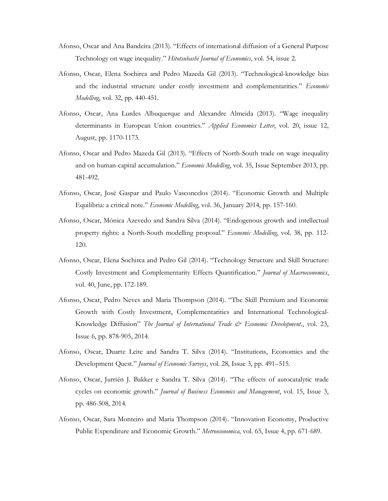- Afonso, Oscar and Ana Bandeira (2013). "Effects of international diffusion of a General Purpose Technology on wage inequality." *Hitotsubashi Journal of Economics*, vol. 54, issue 2.
- Afonso, Oscar, Elena Sochirca and Pedro Mazeda Gil (2013). "Technological-knowledge bias and the industrial structure under costly investment and complementarities." *Economic Modelling*, vol. 32, pp. 440-451.
- Afonso, Oscar, Ana Lurdes Albuquerque and Alexandre Almeida (2013). "Wage inequality determinants in European Union countries." *Applied Economics Letter*, vol. 20, issue 12, August, pp. 1170-1173.
- Afonso, Oscar and Pedro Mazeda Gil (2013). "Effects of North-South trade on wage inequality and on human-capital accumulation." *Economic Modelling*, vol. 35, Issue September 2013, pp. 481-492.
- Afonso, Oscar, José Gaspar and Paulo Vasconcelos (2014). "Economic Growth and Multiple Equilibria: a critical note." *Economic Modelling*, vol. 36, January 2014, pp. 157-160.
- Afonso, Oscar, Mónica Azevedo and Sandra Silva (2014). "Endogenous growth and intellectual property rights: a North-South modelling proposal." *Economic Modelling*, vol. 38, pp. 112- 120.
- Afonso, Oscar, Elena Sochirca and Pedro Gil (2014). "Technology Structure and Skill Structure: Costly Investment and Complementarity Effects Quantification." *Journal of Macroeconomics*, vol. 40, June, pp. 172-189.
- Afonso, Oscar, Pedro Neves and Maria Thompson (2014). "The Skill Premium and Economic Growth with Costly Investment, Complementarities and International Technological-Knowledge Diffusion" *The Journal of International Trade & Economic Development*., vol. 23, Issue 6, pp. 878-905, 2014.
- Afonso, Oscar, Duarte Leite and Sandra T. Silva (2014). "Institutions, Economics and the Development Quest." *Journal of Economic Surveys*, vol. 28, Issue 3, pp. 491–515.
- Afonso, Oscar, Jurriën J. Bakker e Sandra T. Silva (2014). "The effects of autocatalytic trade cycles on economic growth." *Journal of Business Economics and Management*, vol. 15, Issue 3, pp. 486-508, 2014.
- Afonso, Oscar, Sara Monteiro and Maria Thompson (2014). "Innovation Economy, Productive Public Expenditure and Economic Growth." *Metroeconomica*, vol. 65, Issue 4, pp. 671-689.